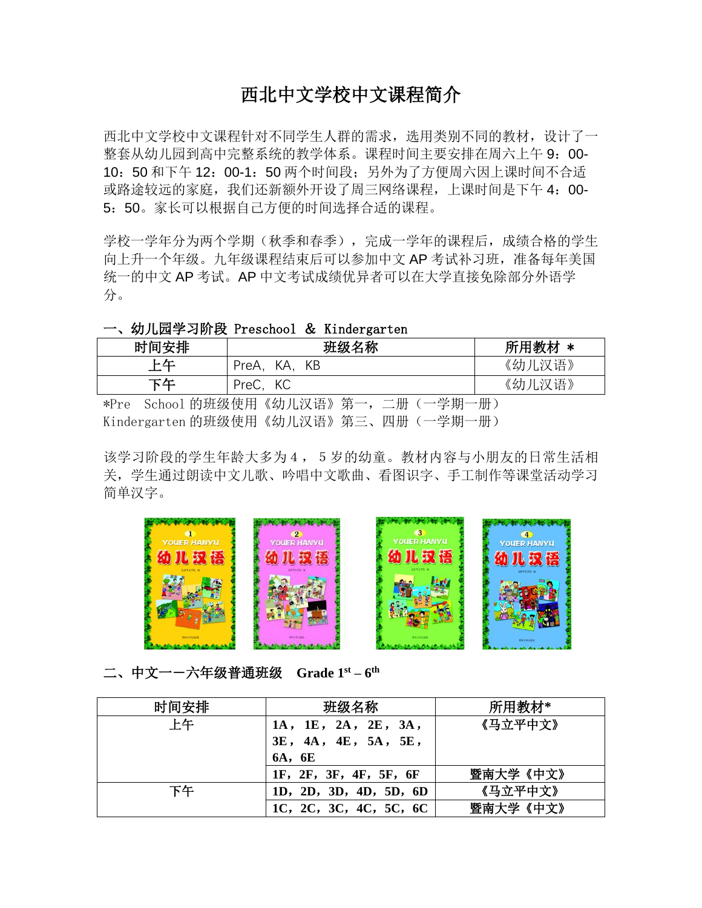# 西北中文学校中文课程简介

西北中文学校中文课程针对不同学生人群的需求,选用类别不同的教材,设计了一 整套从幼儿园到高中完整系统的教学体系。课程时间主要安排在周六上午 9:00- 10: 50 和下午 12: 00-1: 50 两个时间段;另外为了方便周六因上课时间不合适 或路途较远的家庭,我们还新额外开设了周三网络课程,上课时间是下午 4:00-5:50。家长可以根据自己方便的时间选择合适的课程。

学校一学年分为两个学期(秋季和春季),完成一学年的课程后,成绩合格的学生 向上升一个年级。九年级课程结束后可以参加中文 AP 考试补习班, 准备每年美国 统一的中文 AP 考试。AP 中文考试成绩优异者可以在大学直接免除部分外语学 分。

#### 一、幼儿园学习阶段 Preschool & Kindergarten

| 时间安排                                           | 班级名称         | 所用教材 * |  |
|------------------------------------------------|--------------|--------|--|
| 上午                                             | PreA, KA, KB | 《幼儿汉语》 |  |
| 下午                                             | PreC, KC     | 《幼儿汉语》 |  |
| School 的班级使用《幼儿汉语》第一,<br>一学期一册<br>二册<br>$*Pre$ |              |        |  |

Kindergarten 的班级使用《幼儿汉语》第三、四册(一学期一册)

该学习阶段的学生年龄大多为4,5岁的幼童。教材内容与小朋友的日常生活相 关,学生通过朗读中文儿歌、吟唱中文歌曲、看图识字、手工制作等课堂活动学习 简单汉字。



#### 二、中文一一六年级普通班级 Grade 1<sup>st</sup> – 6<sup>th</sup>

| 时间安排 | 班级名称                               | 所用教材*    |
|------|------------------------------------|----------|
| 上午   | $1A$ , $1E$ , $2A$ , $2E$ , $3A$ , | 《马立平中文》  |
|      | $3E$ , $4A$ , $4E$ , $5A$ , $5E$ , |          |
|      | 6A, 6E                             |          |
|      | 1F, 2F, 3F, 4F, 5F, 6F             | 暨南大学《中文》 |
| 下午   | 1D, 2D, 3D, 4D, 5D, 6D             | 《马立平中文》  |
|      | 1C, 2C, 3C, 4C, 5C, 6C             | 暨南大学《中文》 |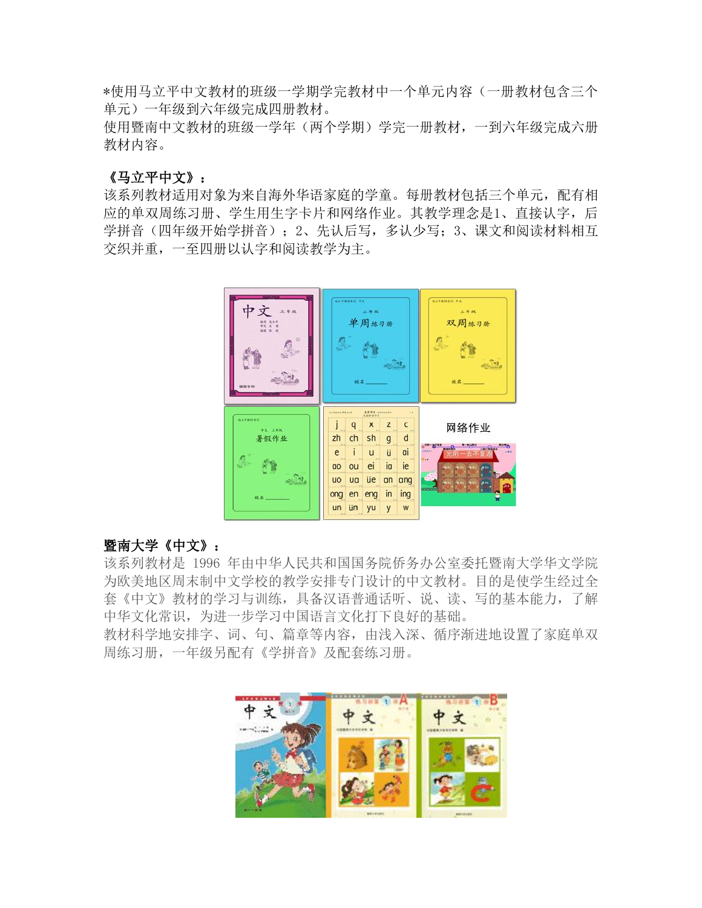\*使用马立平中文教材的班级一学期学完教材中一个单元内容(一册教材包含三个 单元)一年级到六年级完成四册教材。

使用暨南中文教材的班级一学年(两个学期)学完一册教材,一到六年级完成六册 教材内容。

#### 《马立平中文》:

该系列教材适用对象为来自海外华语家庭的学童。每册教材包括三个单元,配有相 应的单双周练习册、学生用生字卡片和网络作业。其教学理念是1、直接认字,后 学拼音(四年级开始学拼音);2、先认后写,多认少写;3、课文和阅读材料相互 交织并重,一至四册以认字和阅读教学为主。



#### 暨南大学《中文》:

该系列教材是 1996 年由中华人民共和国国务院侨务办公室委托暨南大学华文学院 为欧美地区周末制中文学校的教学安排专门设计的中文教材。目的是使学生经过全 套《中文》教材的学习与训练,具备汉语普通话听、说、读、写的基本能力,了解 中华文化常识,为进一步学习中国语言文化打下良好的基础。

教材科学地安排字、词、句、篇章等内容,由浅入深、循序渐进地设置了家庭单双 周练习册,一年级另配有《学拼音》及配套练习册。

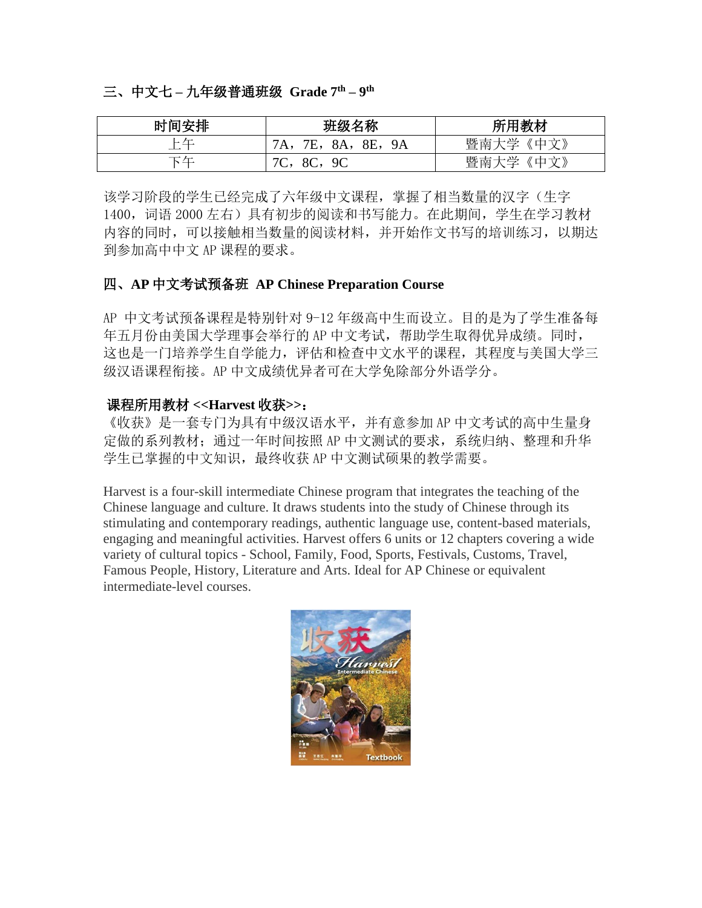## 三、中文七 **–** 九年级普通班级 **Grade 7 th – 9 th**

| 时间安排 | 班级名称                     | 所用教材     |
|------|--------------------------|----------|
| 上午   | 8A, 8E, 9A<br>7A,<br>7E, | 暨南大学《中文》 |
| 下午   | 8C, 9C                   | 暨南大学《中文》 |

该学习阶段的学生已经完成了六年级中文课程,掌握了相当数量的汉字(生字 1400,词语 2000 左右)具有初步的阅读和书写能力。在此期间,学生在学习教材 内容的同时,可以接触相当数量的阅读材料,并开始作文书写的培训练习,以期达 到参加高中中文 AP 课程的要求。

## 四、**AP** 中文考试预备班 **AP Chinese Preparation Course**

AP 中文考试预备课程是特别针对 9-12 年级高中生而设立。目的是为了学生准备每 年五月份由美国大学理事会举行的 AP 中文考试,帮助学生取得优异成绩。同时, 这也是一门培养学生自学能力,评估和检查中文水平的课程,其程度与美国大学三 级汉语课程衔接。AP 中文成绩优异者可在大学免除部分外语学分。

### 课程所用教材 **<<Harvest** 收获**>>**:

《收获》是一套专门为具有中级汉语水平,并有意参加 AP 中文考试的高中生量身 定做的系列教材;通过一年时间按照 AP 中文测试的要求,系统归纳、整理和升华 学生已掌握的中文知识,最终收获 AP 中文测试硕果的教学需要。

Harvest is a four-skill intermediate Chinese program that integrates the teaching of the Chinese language and culture. It draws students into the study of Chinese through its stimulating and contemporary readings, authentic language use, content-based materials, engaging and meaningful activities. Harvest offers 6 units or 12 chapters covering a wide variety of cultural topics - School, Family, Food, Sports, Festivals, Customs, Travel, Famous People, History, Literature and Arts. Ideal for AP Chinese or equivalent intermediate-level courses.

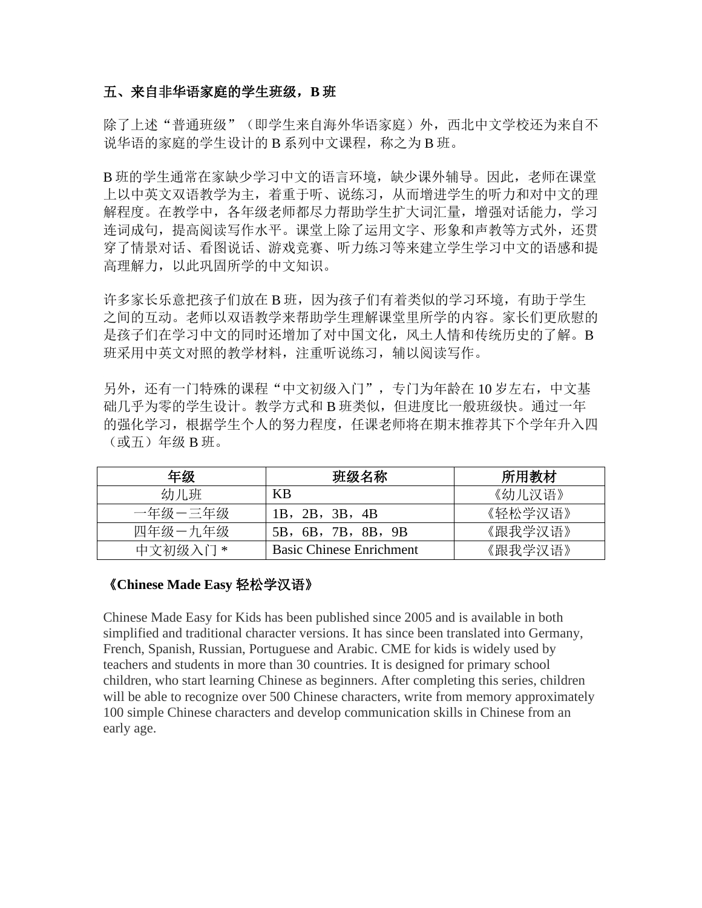## 五、来自非华语家庭的学生班级,**B** 班

除了上述"普通班级"(即学生来自海外华语家庭)外,西北中文学校还为来自不 说华语的家庭的学生设计的 B 系列中文课程, 称之为 B 班。

B 班的学生通常在家缺少学习中文的语言环境,缺少课外辅导。因此,老师在课堂 上以中英文双语教学为主,着重于听、说练习,从而增进学生的听力和对中文的理 解程度。在教学中,各年级老师都尽力帮助学生扩大词汇量,增强对话能力,学习 连词成句,提高阅读写作水平。课堂上除了运用文字、形象和声教等方式外,还贯 穿了情景对话、看图说话、游戏竞赛、听力练习等来建立学生学习中文的语感和提 高理解力,以此巩固所学的中文知识。

许多家长乐意把孩子们放在 B 班, 因为孩子们有着类似的学习环境, 有助于学生 之间的互动。老师以双语教学来帮助学生理解课堂里所学的内容。家长们更欣慰的 是孩子们在学习中文的同时还增加了对中国文化,风土人情和传统历史的了解。B 班采用中英文对照的教学材料,注重听说练习,辅以阅读写作。

另外,还有一门特殊的课程"中文初级入门",专门为年龄在 10 岁左右, 中文基 础几乎为零的学生设计。教学方式和 B 班类似,但进度比一般班级快。通过一年 的强化学习,根据学生个人的努力程度,任课老师将在期末推荐其下个学年升入四 (或五)年级 B 班。

| 年级       | 班级名称                            | 所用教材    |
|----------|---------------------------------|---------|
| 幼儿班      | KB                              | 《幼儿汉语》  |
| 一年级一三年级  | 1B, 2B, 3B, 4B                  | 《轻松学汉语》 |
| 四年级一九年级  | 5B, 6B, 7B, 8B, 9B              | 《跟我学汉语》 |
| 中文初级入门 * | <b>Basic Chinese Enrichment</b> | 《跟我学汉语》 |

### 《**Chinese Made Easy** 轻松学汉语》

Chinese Made Easy for Kids has been published since 2005 and is available in both simplified and traditional character versions. It has since been translated into Germany, French, Spanish, Russian, Portuguese and Arabic. CME for kids is widely used by teachers and students in more than 30 countries. It is designed for primary school children, who start learning Chinese as beginners. After completing this series, children will be able to recognize over 500 Chinese characters, write from memory approximately 100 simple Chinese characters and develop communication skills in Chinese from an early age.